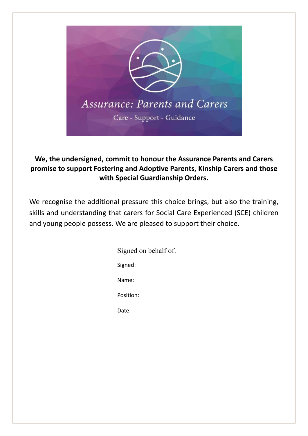

## **We, the undersigned, commit to honour the Assurance Parents and Carers promise to support Fostering and Adoptive Parents, Kinship Carers and those with Special Guardianship Orders.**

We recognise the additional pressure this choice brings, but also the training, skills and understanding that carers for Social Care Experienced (SCE) children and young people possess. We are pleased to support their choice.

> Signed on behalf of: Signed: Name: Position: Date: